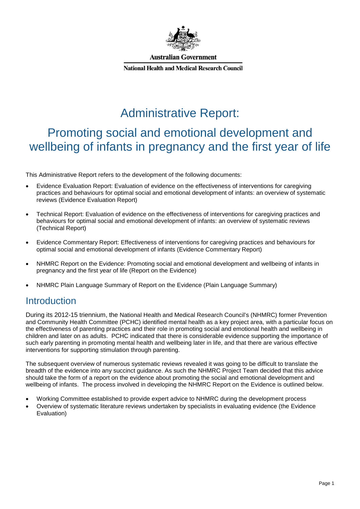

**Australian Government** 

**National Health and Medical Research Council** 

# Administrative Report:

# Promoting social and emotional development and wellbeing of infants in pregnancy and the first year of life

This Administrative Report refers to the development of the following documents:

- Evidence Evaluation Report: Evaluation of evidence on the effectiveness of interventions for caregiving practices and behaviours for optimal social and emotional development of infants: an overview of systematic reviews (Evidence Evaluation Report)
- Technical Report: Evaluation of evidence on the effectiveness of interventions for caregiving practices and behaviours for optimal social and emotional development of infants: an overview of systematic reviews (Technical Report)
- Evidence Commentary Report: Effectiveness of interventions for caregiving practices and behaviours for optimal social and emotional development of infants (Evidence Commentary Report)
- NHMRC Report on the Evidence: Promoting social and emotional development and wellbeing of infants in pregnancy and the first year of life (Report on the Evidence)
- NHMRC Plain Language Summary of Report on the Evidence (Plain Language Summary)

# **Introduction**

During its 2012-15 triennium, the National Health and Medical Research Council's (NHMRC) former Prevention and Community Health Committee (PCHC) identified mental health as a key project area, with a particular focus on the effectiveness of parenting practices and their role in promoting social and emotional health and wellbeing in children and later on as adults. PCHC indicated that there is considerable evidence supporting the importance of such early parenting in promoting mental health and wellbeing later in life, and that there are various effective interventions for supporting stimulation through parenting.

The subsequent overview of numerous systematic reviews revealed it was going to be difficult to translate the breadth of the evidence into any succinct guidance. As such the NHMRC Project Team decided that this advice should take the form of a report on the evidence about promoting the social and emotional development and wellbeing of infants. The process involved in developing the NHMRC Report on the Evidence is outlined below.

- Working Committee established to provide expert advice to NHMRC during the development process
- Overview of systematic literature reviews undertaken by specialists in evaluating evidence (the Evidence Evaluation)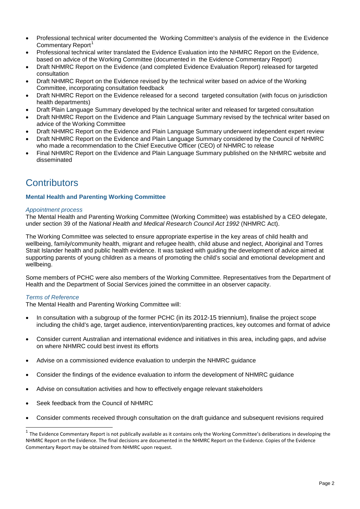- Professional technical writer documented the Working Committee's analysis of the evidence in the Evidence Commentary Report<sup>[1](#page-1-0)</sup>
- Professional technical writer translated the Evidence Evaluation into the NHMRC Report on the Evidence, based on advice of the Working Committee (documented in the Evidence Commentary Report)
- Draft NHMRC Report on the Evidence (and completed Evidence Evaluation Report) released for targeted consultation
- Draft NHMRC Report on the Evidence revised by the technical writer based on advice of the Working Committee, incorporating consultation feedback
- Draft NHMRC Report on the Evidence released for a second targeted consultation (with focus on jurisdiction health departments)
- Draft Plain Language Summary developed by the technical writer and released for targeted consultation
- Draft NHMRC Report on the Evidence and Plain Language Summary revised by the technical writer based on advice of the Working Committee
- Draft NHMRC Report on the Evidence and Plain Language Summary underwent independent expert review
- Draft NHMRC Report on the Evidence and Plain Language Summary considered by the Council of NHMRC who made a recommendation to the Chief Executive Officer (CEO) of NHMRC to release
- Final NHMRC Report on the Evidence and Plain Language Summary published on the NHMRC website and disseminated

# **Contributors**

### **Mental Health and Parenting Working Committee**

### *Appointment process*

The Mental Health and Parenting Working Committee (Working Committee) was established by a CEO delegate, under section 39 of the *National Health and Medical Research Council Act 1992* (NHMRC Act).

The Working Committee was selected to ensure appropriate expertise in the key areas of child health and wellbeing, family/community health, migrant and refugee health, child abuse and neglect, Aboriginal and Torres Strait Islander health and public health evidence. It was tasked with guiding the development of advice aimed at supporting parents of young children as a means of promoting the child's social and emotional development and wellbeing.

Some members of PCHC were also members of the Working Committee. Representatives from the Department of Health and the Department of Social Services joined the committee in an observer capacity.

### *Terms of Reference*

The Mental Health and Parenting Working Committee will:

- In consultation with a subgroup of the former PCHC (in its 2012-15 triennium), finalise the project scope including the child's age, target audience, intervention/parenting practices, key outcomes and format of advice
- Consider current Australian and international evidence and initiatives in this area, including gaps, and advise on where NHMRC could best invest its efforts
- Advise on a commissioned evidence evaluation to underpin the NHMRC guidance
- Consider the findings of the evidence evaluation to inform the development of NHMRC guidance
- Advise on consultation activities and how to effectively engage relevant stakeholders
- Seek feedback from the Council of NHMRC
- Consider comments received through consultation on the draft guidance and subsequent revisions required

<span id="page-1-0"></span> $1$  The Evidence Commentary Report is not publically available as it contains only the Working Committee's deliberations in developing the NHMRC Report on the Evidence. The final decisions are documented in the NHMRC Report on the Evidence. Copies of the Evidence Commentary Report may be obtained from NHMRC upon request.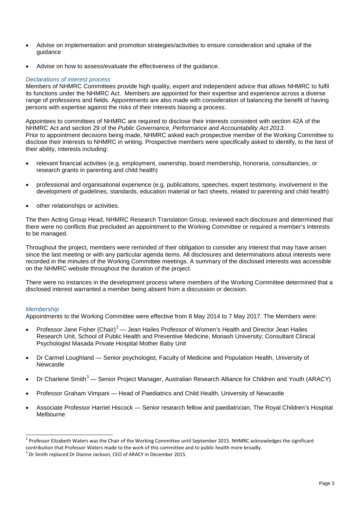- Advise on implementation and promotion strategies/activities to ensure consideration and uptake of the guidance
- Advise on how to assess/evaluate the effectiveness of the quidance.

### *Declarations of interest process*

Members of NHMRC Committees provide high quality, expert and independent advice that allows NHMRC to fulfil its functions under the NHMRC Act. Members are appointed for their expertise and experience across a diverse range of professions and fields. Appointments are also made with consideration of balancing the benefit of having persons with expertise against the risks of their interests biasing a process.

Appointees to committees of NHMRC are required to disclose their interests consistent with section 42A of the NHMRC Act and section 29 of the *Public Governance, Performance and Accountability Act 2013*. Prior to appointment decisions being made, NHMRC asked each prospective member of the Working Committee to disclose their interests to NHMRC in writing. Prospective members were specifically asked to identify, to the best of their ability, interests including:

- relevant financial activities (e.g. employment, ownership, board membership, honoraria, consultancies, or research grants in parenting and child health)
- professional and organisational experience (e.g. publications, speeches, expert testimony, involvement in the development of guidelines, standards, education material or fact sheets, related to parenting and child health)
- other relationships or activities.

The then Acting Group Head, NHMRC Research Translation Group, reviewed each disclosure and determined that there were no conflicts that precluded an appointment to the Working Committee or required a member's interests to be managed.

Throughout the project, members were reminded of their obligation to consider any interest that may have arisen since the last meeting or with any particular agenda items. All disclosures and determinations about interests were recorded in the minutes of the Working Committee meetings. A summary of the disclosed interests was accessible on the NHMRC website throughout the duration of the project.

There were no instances in the development process where members of the Working Committee determined that a disclosed interest warranted a member being absent from a discussion or decision.

### *Membership*

Appointments to the Working Committee were effective from 8 May 2014 to 7 May 2017. The Members were:

- Professor Jane Fisher (Chair)<sup>[2](#page-2-0)</sup> Jean Hailes Professor of Women's Health and Director Jean Hailes Research Unit, School of Public Health and Preventive Medicine, Monash University; Consultant Clinical Psychologist Masada Private Hospital Mother Baby Unit
- Dr Carmel Loughland Senior psychologist, Faculty of Medicine and Population Health, University of Newcastle
- Dr Charlene Smith<sup>[3](#page-2-1)</sup> Senior Project Manager, Australian Research Alliance for Children and Youth (ARACY)
- Professor Graham Vimpani Head of Paediatrics and Child Health, University of Newcastle
- Associate Professor Harriet Hiscock Senior research fellow and paediatrician, The Royal Children's Hospital Melbourne

<span id="page-2-0"></span><sup>&</sup>lt;sup>2</sup> Professor Elizabeth Waters was the Chair of the Working Committee until September 2015. NHMRC acknowledges the significant contribution that Professor Waters made to the work of this committee and to public health more broadly.

<span id="page-2-1"></span> $3$  Dr Smith replaced Dr Dianne Jackson, CEO of ARACY in December 2015.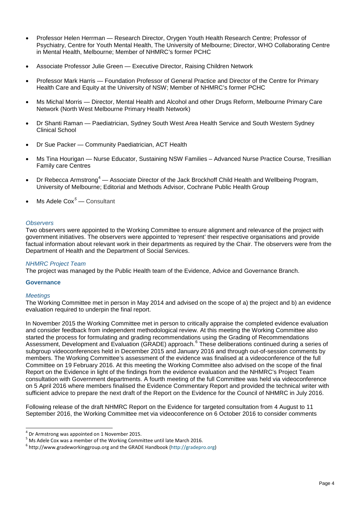- Professor Helen Herrman Research Director, Orygen Youth Health Research Centre; Professor of Psychiatry, Centre for Youth Mental Health, The University of Melbourne; Director, WHO Collaborating Centre in Mental Health, Melbourne; Member of NHMRC's former PCHC
- Associate Professor Julie Green Executive Director, Raising Children Network
- Professor Mark Harris Foundation Professor of General Practice and Director of the Centre for Primary Health Care and Equity at the University of NSW; Member of NHMRC's former PCHC
- Ms Michal Morris Director, Mental Health and Alcohol and other Drugs Reform, Melbourne Primary Care Network (North West Melbourne Primary Health Network)
- Dr Shanti Raman Paediatrician, Sydney South West Area Health Service and South Western Sydney Clinical School
- Dr Sue Packer Community Paediatrician, ACT Health
- Ms Tina Hourigan Nurse Educator, Sustaining NSW Families Advanced Nurse Practice Course, Tresillian Family care Centres
- Dr Rebecca Armstrong<sup>[4](#page-3-0)</sup> Associate Director of the Jack Brockhoff Child Health and Wellbeing Program, University of Melbourne; Editorial and Methods Advisor, Cochrane Public Health Group
- Ms Adele Cox*[5](#page-3-1)* Consultant

### *Observers*

Two observers were appointed to the Working Committee to ensure alignment and relevance of the project with government initiatives. The observers were appointed to 'represent' their respective organisations and provide factual information about relevant work in their departments as required by the Chair. The observers were from the Department of Health and the Department of Social Services.

### *NHMRC Project Team*

The project was managed by the Public Health team of the Evidence, Advice and Governance Branch.

### **Governance**

### *Meetings*

The Working Committee met in person in May 2014 and advised on the scope of a) the project and b) an evidence evaluation required to underpin the final report.

In November 2015 the Working Committee met in person to critically appraise the completed evidence evaluation and consider feedback from independent methodological review. At this meeting the Working Committee also started the process for formulating and grading recommendations using the Grading of Recommendations Assessment, Development and Evaluation (GRADE) approach.<sup>[6](#page-3-2)</sup> These deliberations continued during a series of subgroup videoconferences held in December 2015 and January 2016 and through out-of-session comments by members. The Working Committee's assessment of the evidence was finalised at a videoconference of the full Committee on 19 February 2016. At this meeting the Working Committee also advised on the scope of the final Report on the Evidence in light of the findings from the evidence evaluation and the NHMRC's Project Team consultation with Government departments. A fourth meeting of the full Committee was held via videoconference on 5 April 2016 where members finalised the Evidence Commentary Report and provided the technical writer with sufficient advice to prepare the next draft of the Report on the Evidence for the Council of NHMRC in July 2016.

Following release of the draft NHMRC Report on the Evidence for targeted consultation from 4 August to 11 September 2016, the Working Committee met via videoconference on 6 October 2016 to consider comments

<span id="page-3-1"></span><span id="page-3-0"></span><sup>&</sup>lt;sup>4</sup> Dr Armstrong was appointed on 1 November 2015.<br><sup>5</sup> Ms Adele Cox was a member of the Working Committee until late March 2016.<br><sup>6</sup> [http://www.gradeworkinggroup.org](http://www.gradeworkinggroup.org/) and the GRADE Handbook [\(http://gradepro.org\)](http://gradepro.org/)

<span id="page-3-2"></span>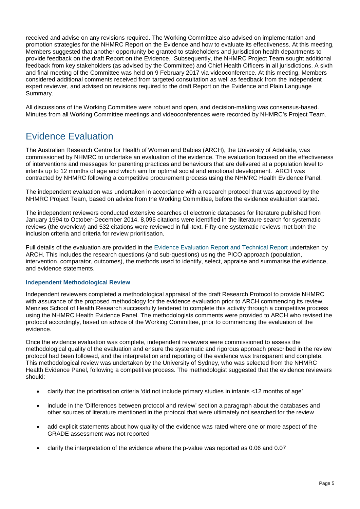received and advise on any revisions required. The Working Committee also advised on implementation and promotion strategies for the NHMRC Report on the Evidence and how to evaluate its effectiveness. At this meeting, Members suggested that another opportunity be granted to stakeholders and jurisdiction health departments to provide feedback on the draft Report on the Evidence. Subsequently, the NHMRC Project Team sought additional feedback from key stakeholders (as advised by the Committee) and Chief Health Officers in all jurisdictions. A sixth and final meeting of the Committee was held on 9 February 2017 via videoconference. At this meeting, Members considered additional comments received from targeted consultation as well as feedback from the independent expert reviewer, and advised on revisions required to the draft Report on the Evidence and Plain Language Summary.

All discussions of the Working Committee were robust and open, and decision-making was consensus-based. Minutes from all Working Committee meetings and videoconferences were recorded by NHMRC's Project Team.

# Evidence Evaluation

The Australian Research Centre for Health of Women and Babies (ARCH), the University of Adelaide, was commissioned by NHMRC to undertake an evaluation of the evidence. The evaluation focused on the effectiveness of interventions and messages for parenting practices and behaviours that are delivered at a population level to infants up to 12 months of age and which aim for optimal social and emotional development. ARCH was contracted by NHMRC following a competitive procurement process using the NHMRC Health Evidence Panel.

The independent evaluation was undertaken in accordance with a research protocol that was approved by the NHMRC Project Team, based on advice from the Working Committee, before the evidence evaluation started.

The independent reviewers conducted extensive searches of electronic databases for literature published from January 1994 to October-December 2014. 8,095 citations were identified in the literature search for systematic reviews (the overview) and 532 citations were reviewed in full-text. Fifty-one systematic reviews met both the inclusion criteria and criteria for review prioritisation.

Full details of the evaluation are provided in the [Evidence Evaluation Report and Technical Report](https://www.nhmrc.gov.au/book/promoting-social-and-emotional-development-and-wellbeing-infants-nhmrc-report-evidence-2-3) undertaken by ARCH. This includes the research questions (and sub-questions) using the PICO approach (population, intervention, comparator, outcomes), the methods used to identify, select, appraise and summarise the evidence, and evidence statements.

### **Independent Methodological Review**

Independent reviewers completed a methodological appraisal of the draft Research Protocol to provide NHMRC with assurance of the proposed methodology for the evidence evaluation prior to ARCH commencing its review. Menzies School of Health Research successfully tendered to complete this activity through a competitive process using the NHMRC Health Evidence Panel. The methodologists comments were provided to ARCH who revised the protocol accordingly, based on advice of the Working Committee, prior to commencing the evaluation of the evidence.

Once the evidence evaluation was complete, independent reviewers were commissioned to assess the methodological quality of the evaluation and ensure the systematic and rigorous approach prescribed in the review protocol had been followed, and the interpretation and reporting of the evidence was transparent and complete. This methodological review was undertaken by the University of Sydney, who was selected from the NHMRC Health Evidence Panel, following a competitive process. The methodologist suggested that the evidence reviewers should:

- clarify that the prioritisation criteria 'did not include primary studies in infants <12 months of age'
- include in the 'Differences between protocol and review' section a paragraph about the databases and other sources of literature mentioned in the protocol that were ultimately not searched for the review
- add explicit statements about how quality of the evidence was rated where one or more aspect of the GRADE assessment was not reported
- clarify the interpretation of the evidence where the p-value was reported as 0.06 and 0.07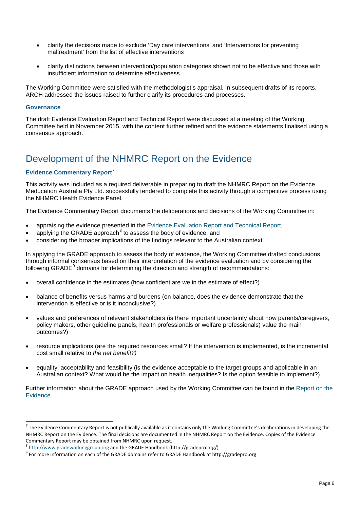- clarify the decisions made to exclude 'Day care interventions' and 'Interventions for preventing maltreatment' from the list of effective interventions
- clarify distinctions between intervention/population categories shown not to be effective and those with insufficient information to determine effectiveness.

The Working Committee were satisfied with the methodologist's appraisal. In subsequent drafts of its reports, ARCH addressed the issues raised to further clarify its procedures and processes.

### **Governance**

The draft Evidence Evaluation Report and Technical Report were discussed at a meeting of the Working Committee held in November 2015, with the content further refined and the evidence statements finalised using a consensus approach.

# Development of the NHMRC Report on the Evidence

## **Evidence Commentary Report[7](#page-5-0)**

This activity was included as a required deliverable in preparing to draft the NHMRC Report on the Evidence. Meducation Australia Pty Ltd. successfully tendered to complete this activity through a competitive process using the NHMRC Health Evidence Panel.

The Evidence Commentary Report documents the deliberations and decisions of the Working Committee in:

- appraising the evidence presented in the [Evidence Evaluation Report and Technical Report,](https://www.nhmrc.gov.au/book/promoting-social-and-emotional-development-and-wellbeing-infants-nhmrc-report-evidence-2-3)
- applying the GRADE approach $8$  to assess the body of evidence, and
- considering the broader implications of the findings relevant to the Australian context.

In applying the GRADE approach to assess the body of evidence, the Working Committee drafted conclusions through informal consensus based on their interpretation of the evidence evaluation and by considering the following GRADE<sup>[9](#page-5-2)</sup> domains for determining the direction and strength of recommendations:

- overall confidence in the estimates (how confident are we in the estimate of effect?)
- balance of benefits versus harms and burdens (on balance, does the evidence demonstrate that the intervention is effective or is it inconclusive?)
- values and preferences of relevant stakeholders (is there important uncertainty about how parents/caregivers, policy makers, other guideline panels, health professionals or welfare professionals) value the main outcomes?)
- resource implications (are the required resources small? If the intervention is implemented, is the incremental cost small relative to *the net benefit?)*
- equality, acceptability and feasibility (is the evidence acceptable to the target groups and applicable in an Australian context? What would be the impact on health inequalities? Is the option feasible to implement?)

Further information about the GRADE approach used by the Working Committee can be found in the [Report on the](https://www.nhmrc.gov.au/book/promoting-social-and-emotional-development-and-wellbeing-infants-nhmrc-report-evidence-2/grade)  [Evidence.](https://www.nhmrc.gov.au/book/promoting-social-and-emotional-development-and-wellbeing-infants-nhmrc-report-evidence-2/grade)

<span id="page-5-0"></span> $^7$  The Evidence Commentary Report is not publically available as it contains only the Working Committee's deliberations in developing the NHMRC Report on the Evidence. The final decisions are documented in the NHMRC Report on the Evidence. Copies of the Evidence Commentary Report may be obtained from NHMRC upon request.<br>
<sup>8</sup> http://www.gradeworkinggroup.org and the GRADE Handbook (http://gradepro.org/)

<span id="page-5-2"></span><span id="page-5-1"></span><sup>&</sup>lt;sup>9</sup> For more information on each of the GRADE domains refer to GRADE Handbook a[t http://gradepro.org](http://gradepro.org/)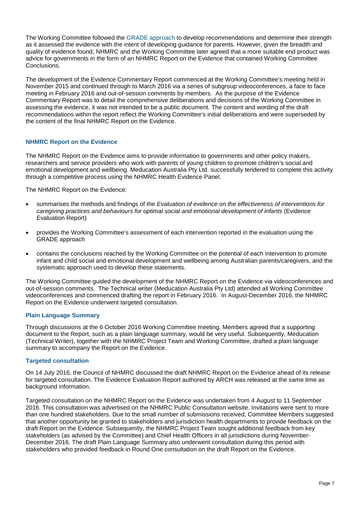The Working Committee followed the [GRADE approach](http://gdt.guidelinedevelopment.org/app/handbook/handbook.html) to develop recommendations and determine their strength as it assessed the evidence with the intent of developing guidance for parents. However, given the breadth and quality of evidence found, NHMRC and the Working Committee later agreed that a more suitable end product was advice for governments in the form of an NHMRC Report on the Evidence that contained Working Committee Conclusions.

The development of the Evidence Commentary Report commenced at the Working Committee's meeting held in November 2015 and continued through to March 2016 via a series of subgroup videoconferences, a face to face meeting in February 2016 and out-of-session comments by members. As the purpose of the Evidence Commentary Report was to detail the comprehensive deliberations and decisions of the Working Committee in assessing the evidence, it was not intended to be a public document. The content and wording of the draft recommendations within the report reflect the Working Committee's initial deliberations and were superseded by the content of the final NHMRC Report on the Evidence.

## **NHMRC Report on the Evidence**

The NHMRC Report on the Evidence aims to provide information to governments and other policy makers, researchers and service providers who work with parents of young children to promote children's social and emotional development and wellbeing. Meducation Australia Pty Ltd. successfully tendered to complete this activity through a competitive process using the NHMRC Health Evidence Panel.

The NHMRC Report on the Evidence:

- summarises the methods and findings of the *Evaluation of evidence on the effectiveness of interventions for caregiving practices and behaviours for optimal social and emotional development of infants* (Evidence Evaluation Report)
- provides the Working Committee's assessment of each intervention reported in the evaluation using the GRADE approach
- contains the conclusions reached by the Working Committee on the potential of each intervention to promote infant and child social and emotional development and wellbeing among Australian parents/caregivers, and the systematic approach used to develop these statements.

The Working Committee guided the development of the NHMRC Report on the Evidence via videoconferences and out-of-session comments. The Technical writer (Meducation Australia Pty Ltd) attended all Working Committee videoconferences and commenced drafting the report in February 2016. In August-December 2016, the NHMRC Report on the Evidence underwent targeted consultation.

### **Plain Language Summary**

Through discussions at the 6 October 2016 Working Committee meeting, Members agreed that a supporting document to the Report, such as a plain language summary, would be very useful. Subsequently, Meducation (Technical Writer), together with the NHMRC Project Team and Working Committee, drafted a plain language summary to accompany the Report on the Evidence.

### **Targeted consultation**

On 14 July 2016, the Council of NHMRC discussed the draft NHMRC Report on the Evidence ahead of its release for targeted consultation. The Evidence Evaluation Report authored by ARCH was released at the same time as background information.

Targeted consultation on the NHMRC Report on the Evidence was undertaken from 4 August to 11 September 2016. This consultation was advertised on the NHMRC Public Consultation website. Invitations were sent to more than one hundred stakeholders. Due to the small number of submissions received, Committee Members suggested that another opportunity be granted to stakeholders and jurisdiction health departments to provide feedback on the draft Report on the Evidence. Subsequently, the NHMRC Project Team sought additional feedback from key stakeholders (as advised by the Committee) and Chief Health Officers in all jurisdictions during November-December 2016. The draft Plain Language Summary also underwent consultation during this period with stakeholders who provided feedback in Round One consultation on the draft Report on the Evidence.